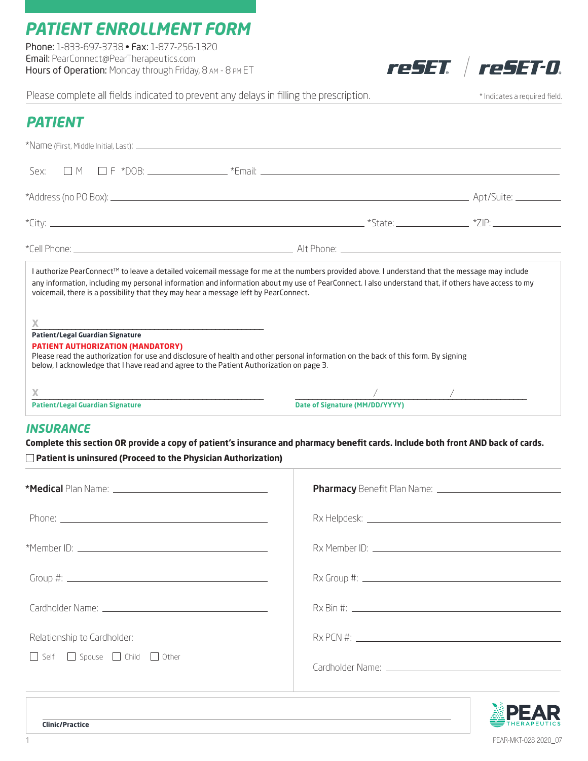# *PATIENT ENROLLMENT FORM*

Phone: 1-833-697-3738 • Fax: 1-877-256-1320 Email: PearConnect@PearTherapeutics.com Hours of Operation: Monday through Friday, 8 am - 8 pm ET

reSET reSET-0.

Please complete all fields indicated to prevent any delays in filling the prescription. \* \* Indicates a required field.

| <b>PATIENT</b>                                                                                                                                                                                                                                                                                                                                                                                            |                                                                                                                                                                                                                                                                      |  |  |
|-----------------------------------------------------------------------------------------------------------------------------------------------------------------------------------------------------------------------------------------------------------------------------------------------------------------------------------------------------------------------------------------------------------|----------------------------------------------------------------------------------------------------------------------------------------------------------------------------------------------------------------------------------------------------------------------|--|--|
|                                                                                                                                                                                                                                                                                                                                                                                                           |                                                                                                                                                                                                                                                                      |  |  |
|                                                                                                                                                                                                                                                                                                                                                                                                           |                                                                                                                                                                                                                                                                      |  |  |
|                                                                                                                                                                                                                                                                                                                                                                                                           |                                                                                                                                                                                                                                                                      |  |  |
|                                                                                                                                                                                                                                                                                                                                                                                                           |                                                                                                                                                                                                                                                                      |  |  |
|                                                                                                                                                                                                                                                                                                                                                                                                           |                                                                                                                                                                                                                                                                      |  |  |
| I authorize PearConnect <sup>TM</sup> to leave a detailed voicemail message for me at the numbers provided above. I understand that the message may include<br>any information, including my personal information and information about my use of PearConnect. I also understand that, if others have access to my<br>voicemail, there is a possibility that they may hear a message left by PearConnect. |                                                                                                                                                                                                                                                                      |  |  |
| X<br>Patient/Legal Guardian Signature<br><b>PATIENT AUTHORIZATION (MANDATORY)</b><br>Please read the authorization for use and disclosure of health and other personal information on the back of this form. By signing<br>below, I acknowledge that I have read and agree to the Patient Authorization on page 3.                                                                                        |                                                                                                                                                                                                                                                                      |  |  |
| <b>Patient/Legal Guardian Signature</b>                                                                                                                                                                                                                                                                                                                                                                   | $\mathcal{L}$ and the set of the set of the set of the set of the set of the set of the set of the set of the set of the set of the set of the set of the set of the set of the set of the set of the set of the set of the set of<br>Date of Signature (MM/DD/YYYY) |  |  |

### *INSURANCE*

**Complete this section OR provide a copy of patient's insurance and pharmacy benefit cards. Include both front AND back of cards. Patient is uninsured (Proceed to the Physician Authorization)**

| Relationship to Cardholder:<br>Self Spouse child cher                                                      |  |
|------------------------------------------------------------------------------------------------------------|--|
|                                                                                                            |  |
| ,我们也不会有什么。""我们的人,我们也不会有什么?""我们的人,我们也不会有什么?""我们的人,我们的人,我们的人,我们的人,我们的人,我们的人,我们的人,我<br><b>Clinic/Practice</b> |  |

1 PEAR-MKT-028 2020\_07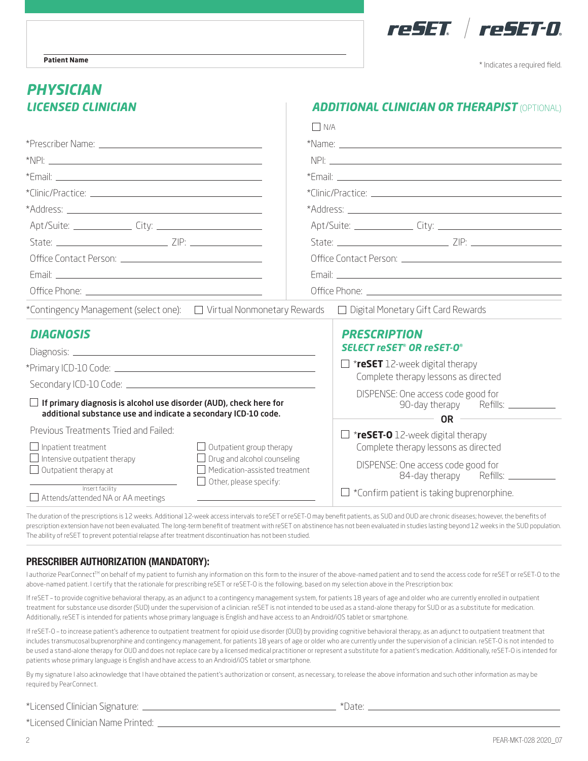

\* Indicates a required field.

## *LICENSED CLINICIAN ADDITIONAL CLINICIAN OR THERAPIST* (OPTIONAL) *PHYSICIAN*

|                                                                                                                                                                             | $\Box$ N/A                                                                                 |  |
|-----------------------------------------------------------------------------------------------------------------------------------------------------------------------------|--------------------------------------------------------------------------------------------|--|
|                                                                                                                                                                             |                                                                                            |  |
|                                                                                                                                                                             |                                                                                            |  |
|                                                                                                                                                                             |                                                                                            |  |
|                                                                                                                                                                             |                                                                                            |  |
|                                                                                                                                                                             |                                                                                            |  |
|                                                                                                                                                                             |                                                                                            |  |
|                                                                                                                                                                             |                                                                                            |  |
|                                                                                                                                                                             |                                                                                            |  |
|                                                                                                                                                                             |                                                                                            |  |
|                                                                                                                                                                             |                                                                                            |  |
| *Contingency Management (select one):<br>$\Box$ Virtual Nonmonetary Rewards $\Box$ Digital Monetary Gift Card Rewards                                                       |                                                                                            |  |
| <b>DIAGNOSIS</b>                                                                                                                                                            | <b>PRESCRIPTION</b>                                                                        |  |
|                                                                                                                                                                             | <b>SELECT reSET<sup>®</sup> OR reSET-O<sup>®</sup></b>                                     |  |
|                                                                                                                                                                             | $\Box$ *reSET 12-week digital therapy                                                      |  |
|                                                                                                                                                                             | Complete therapy lessons as directed                                                       |  |
| $\Box$ If primary diagnosis is alcohol use disorder (AUD), check here for<br>additional substance use and indicate a secondary ICD-10 code.                                 | DISPENSE: One access code good for<br>90-day therapy Refills: ___________<br>$OR$ $\qquad$ |  |
| Previous Treatments Tried and Failed:                                                                                                                                       | $\Box$ *reSET-0 12-week digital therapy                                                    |  |
| $\Box$ Inpatient treatment<br>$\Box$ Outpatient group therapy                                                                                                               | Complete therapy lessons as directed                                                       |  |
| $\Box$ Intensive outpatient therapy<br>$\Box$ Drug and alcohol counseling<br>Medication-assisted treatment<br>$\Box$ Outpatient therapy at<br>$\Box$ Other, please specify: | DISPENSE: One access code good for<br>84-day therapy<br>Refills:                           |  |
| Insert facility<br>Attends/attended NA or AA meetings                                                                                                                       | $\Box$ *Confirm patient is taking buprenorphine.                                           |  |

The duration of the prescriptions is 12 weeks. Additional 12-week access intervals to reSET or reSET-O may benefit patients, as SUD and OUD are chronic diseases; however, the benefits of prescription extension have not been evaluated. The long-term benefit of treatment with reSET on abstinence has not been evaluated in studies lasting beyond 12 weeks in the SUD population. The ability of reSET to prevent potential relapse after treatment discontinuation has not been studied.

#### PRESCRIBER AUTHORIZATION (MANDATORY):

I authorize PearConnect™ on behalf of my patient to furnish any information on this form to the insurer of the above-named patient and to send the access code for reSET or reSET-O to the above-named patient. I certify that the rationale for prescribing reSET or reSET-O is the following, based on my selection above in the Prescription box:

If reSET - to provide cognitive behavioral therapy, as an adjunct to a contingency management system, for patients 18 years of age and older who are currently enrolled in outpatient treatment for substance use disorder (SUD) under the supervision of a clinician. reSET is not intended to be used as a stand-alone therapy for SUD or as a substitute for medication. Additionally, reSET is intended for patients whose primary language is English and have access to an Android/iOS tablet or smartphone.

If reSET-O – to increase patient's adherence to outpatient treatment for opioid use disorder (OUD) by providing cognitive behavioral therapy, as an adjunct to outpatient treatment that includes transmucosal buprenorphine and contingency management, for patients 18 years of age or older who are currently under the supervision of a clinician. reSET-O is not intended to be used a stand-alone therapy for OUD and does not replace care by a licensed medical practitioner or represent a substitute for a patient's medication. Additionally, reSET-O is intended for patients whose primary language is English and have access to an Android/iOS tablet or smartphone.

By my signature I also acknowledge that I have obtained the patient's authorization or consent, as necessary, to release the above information and such other information as may be required by PearConnect.

\*Licensed Clinician Signature: \*Date:

\*Licensed Clinician Name Printed: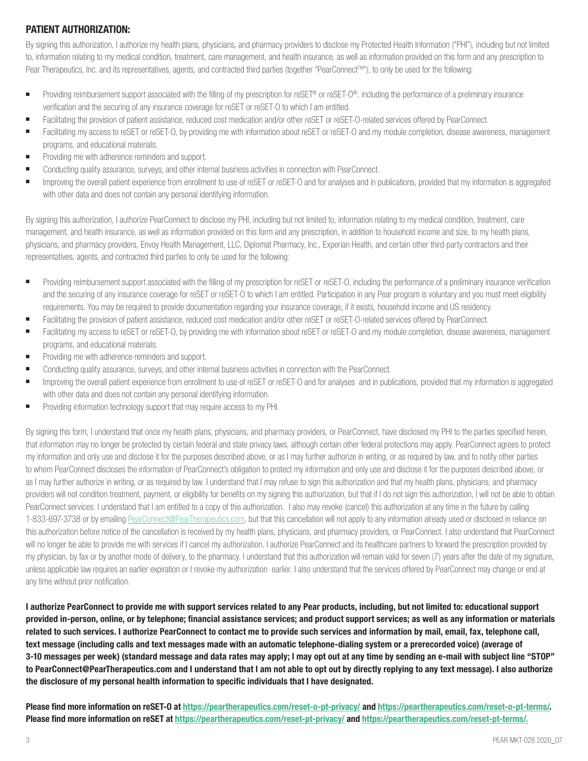#### PATIENT AUTHORIZATION:

By signing this authorization, I authorize my health plans, physicians, and pharmacy providers to disclose my Protected Health Information ("PHI"), including but not limited to, information relating to my medical condition, treatment, care management, and health insurance, as well as information provided on this form and any prescription to Pear Therapeutics, Inc. and its representatives, agents, and contracted third parties (together "PearConnect™"), to only be used for the following:

- Providing reimbursement support associated with the filling of my prescription for reSET<sup>®</sup> or reSET-O®, including the performance of a preliminary insurance verification and the securing of any insurance coverage for reSET or reSET-O to which I am entitled.
- Facilitating the provision of patient assistance, reduced cost medication and/or other reSET or reSET-O-related services offered by PearConnect.
- Facilitating my access to reSET or reSET-O, by providing me with information about reSET or reSET-O and my module completion, disease awareness, management programs, and educational materials.
- Providing me with adherence reminders and support.
- Conducting quality assurance, surveys, and other internal business activities in connection with PearConnect.
- Improving the overall patient experience from enrollment to use of reSET or reSET-O and for analyses and in publications, provided that my information is aggregated with other data and does not contain any personal identifying information.

By signing this authorization, I authorize PearConnect to disclose my PHI, including but not limited to, information relating to my medical condition, treatment, care management, and health insurance, as well as information provided on this form and any prescription, in addition to household income and size, to my health plans, physicians, and pharmacy providers, Envoy Health Management, LLC, Diplomat Pharmacy, Inc., Experian Health, and certain other third-party contractors and their representatives, agents, and contracted third parties to only be used for the following:

- Providing reimbursement support associated with the filling of my prescription for reSET or reSET-O, including the performance of a preliminary insurance verification and the securing of any insurance coverage for reSET or reSET-O to which I am entitled. Participation in any Pear program is voluntary and you must meet eligibility requirements. You may be required to provide documentation regarding your insurance coverage, if it exists, household income and US residency.
- Facilitating the provision of patient assistance, reduced cost medication and/or other reSET or reSET-O-related services offered by PearConnect.
- Facilitating my access to reSET or reSET-O, by providing me with information about reSET or reSET-O and my module completion, disease awareness, management programs, and educational materials.
- Providing me with adherence reminders and support.
- Conducting quality assurance, surveys, and other internal business activities in connection with the PearConnect.
- Improving the overall patient experience from enrollment to use of reSET or reSET-O and for analyses and in publications, provided that my information is aggregated with other data and does not contain any personal identifying information.
- Providing information technology support that may require access to my PHI.

By signing this form, I understand that once my health plans, physicians, and pharmacy providers, or PearConnect, have disclosed my PHI to the parties specified herein, that information may no longer be protected by certain federal and state privacy laws, although certain other federal protections may apply. PearConnect agrees to protect my information and only use and disclose it for the purposes described above, or as I may further authorize in writing, or as required by law, and to notify other parties to whom PearConnect discloses the information of PearConnect's obligation to protect my information and only use and disclose it for the purposes described above, or as I may further authorize in writing, or as required by law. I understand that I may refuse to sign this authorization and that my health plans, physicians, and pharmacy providers will not condition treatment, payment, or eligibility for benefits on my signing this authorization, but that if I do not sign this authorization, I will not be able to obtain PearConnect services. I understand that I am entitled to a copy of this authorization. I also may revoke (cancel) this authorization at any time in the future by calling 1-833-697-3738 or by emailing PearConnect@PearTherapeutics.com, but that this cancellation will not apply to any information already used or disclosed in reliance on this authorization before notice of the cancellation is received by my health plans, physicians, and pharmacy providers, or PearConnect. I also understand that PearConnect will no longer be able to provide me with services if I cancel my authorization. I authorize PearConnect and its healthcare partners to forward the prescription provided by my physician, by fax or by another mode of delivery, to the pharmacy. I understand that this authorization will remain valid for seven (7) years after the date of my signature, unless applicable law requires an earlier expiration or I revoke my authorization earlier. I also understand that the services offered by PearConnect may change or end at any time without prior notification.

I authorize PearConnect to provide me with support services related to any Pear products, including, but not limited to: educational support provided in-person, online, or by telephone; financial assistance services; and product support services; as well as any information or materials related to such services. I authorize PearConnect to contact me to provide such services and information by mail, email, fax, telephone call, text message (including calls and text messages made with an automatic telephone-dialing system or a prerecorded voice) (average of 3-10 messages per week) (standard message and data rates may apply; I may opt out at any time by sending an e-mail with subject line "STOP" to PearConnect@PearTherapeutics.com and I understand that I am not able to opt out by directly replying to any text message). I also authorize the disclosure of my personal health information to specific individuals that I have designated.

Please find more information on reSET-O at https://peartherapeutics.com/reset-o-pt-privacy/ and https://peartherapeutics.com/reset-o-pt-terms/. Please find more information on reSET at https://peartherapeutics.com/reset-pt-privacy/ and https://peartherapeutics.com/reset-pt-terms/.